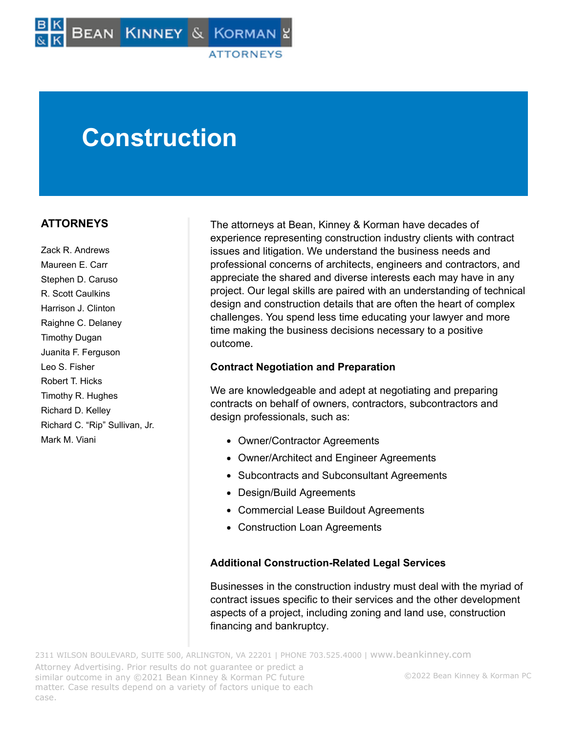# **Construction**

### **ATTORNEYS**

Zack R. Andrews Maureen E. Carr Stephen D. Caruso R. Scott Caulkins Harrison J. Clinton Raighne C. Delaney Timothy Dugan Juanita F. Ferguson Leo S. Fisher Robert T. Hicks Timothy R. Hughes Richard D. Kelley Richard C. "Rip" Sullivan, Jr. Mark M. Viani

The attorneys at Bean, Kinney & Korman have decades of experience representing construction industry clients with contract issues and litigation. We understand the business needs and professional concerns of architects, engineers and contractors, and appreciate the shared and diverse interests each may have in any project. Our legal skills are paired with an understanding of technical design and construction details that are often the heart of complex challenges. You spend less time educating your lawyer and more time making the business decisions necessary to a positive outcome.

#### **Contract Negotiation and Preparation**

We are knowledgeable and adept at negotiating and preparing contracts on behalf of owners, contractors, subcontractors and design professionals, such as:

- Owner/Contractor Agreements
- Owner/Architect and Engineer Agreements
- Subcontracts and Subconsultant Agreements
- Design/Build Agreements
- Commercial Lease Buildout Agreements
- Construction Loan Agreements

#### **Additional Construction-Related Legal Services**

Businesses in the construction industry must deal with the myriad of contract issues specific to their services and the other development aspects of a project, including zoning and land use, construction financing and bankruptcy.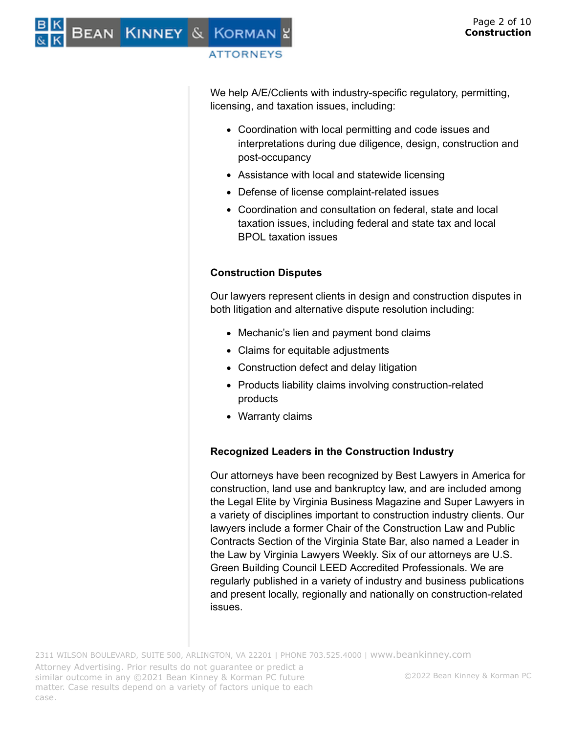We help A/E/Cclients with industry-specific regulatory, permitting, licensing, and taxation issues, including:

- Coordination with local permitting and code issues and interpretations during due diligence, design, construction and post-occupancy
- Assistance with local and statewide licensing
- Defense of license complaint-related issues
- Coordination and consultation on federal, state and local taxation issues, including federal and state tax and local BPOL taxation issues

#### **Construction Disputes**

Our lawyers represent clients in design and construction disputes in both litigation and alternative dispute resolution including:

- Mechanic's lien and payment bond claims
- Claims for equitable adjustments
- Construction defect and delay litigation
- Products liability claims involving construction-related products
- Warranty claims

# **Recognized Leaders in the Construction Industry**

Our attorneys have been recognized by Best Lawyers in America for construction, land use and bankruptcy law, and are included among the Legal Elite by Virginia Business Magazine and Super Lawyers in a variety of disciplines important to construction industry clients. Our lawyers include a former Chair of the Construction Law and Public Contracts Section of the Virginia State Bar, also named a Leader in the Law by Virginia Lawyers Weekly. Six of our attorneys are U.S. Green Building Council LEED Accredited Professionals. We are regularly published in a variety of industry and business publications and present locally, regionally and nationally on construction-related issues.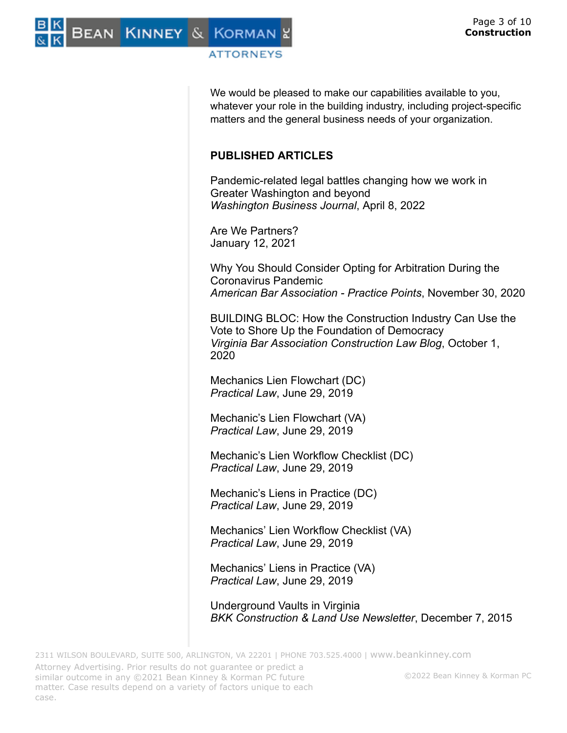Bean Kinney & Korman

#### **ATTORNEYS**

We would be pleased to make our capabilities available to you, whatever your role in the building industry, including project-specific matters and the general business needs of your organization.

# **PUBLISHED ARTICLES**

Pandemic-related legal battles changing how we work in Greater Washington and beyond *Washington Business Journal*, April 8, 2022

Are We Partners? January 12, 2021

Why You Should Consider Opting for Arbitration During the Coronavirus Pandemic *American Bar Association - Practice Points*, November 30, 2020

BUILDING BLOC: How the Construction Industry Can Use the Vote to Shore Up the Foundation of Democracy *Virginia Bar Association Construction Law Blog*, October 1, 2020

Mechanics Lien Flowchart (DC) *Practical Law*, June 29, 2019

Mechanic's Lien Flowchart (VA) *Practical Law*, June 29, 2019

Mechanic's Lien Workflow Checklist (DC) *Practical Law*, June 29, 2019

Mechanic's Liens in Practice (DC) *Practical Law*, June 29, 2019

Mechanics' Lien Workflow Checklist (VA) *Practical Law*, June 29, 2019

Mechanics' Liens in Practice (VA) *Practical Law*, June 29, 2019

Underground Vaults in Virginia *BKK Construction & Land Use Newsletter*, December 7, 2015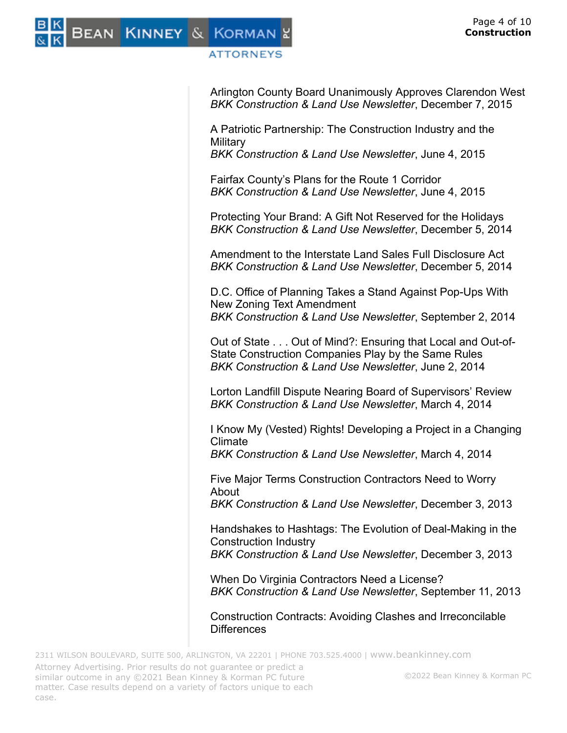

Arlington County Board Unanimously Approves Clarendon West *BKK Construction & Land Use Newsletter*, December 7, 2015

A Patriotic Partnership: The Construction Industry and the **Military** 

*BKK Construction & Land Use Newsletter*, June 4, 2015

Fairfax County's Plans for the Route 1 Corridor *BKK Construction & Land Use Newsletter*, June 4, 2015

Protecting Your Brand: A Gift Not Reserved for the Holidays *BKK Construction & Land Use Newsletter*, December 5, 2014

Amendment to the Interstate Land Sales Full Disclosure Act *BKK Construction & Land Use Newsletter*, December 5, 2014

D.C. Office of Planning Takes a Stand Against Pop-Ups With New Zoning Text Amendment *BKK Construction & Land Use Newsletter*, September 2, 2014

Out of State . . . Out of Mind?: Ensuring that Local and Out-of-State Construction Companies Play by the Same Rules *BKK Construction & Land Use Newsletter*, June 2, 2014

Lorton Landfill Dispute Nearing Board of Supervisors' Review *BKK Construction & Land Use Newsletter*, March 4, 2014

I Know My (Vested) Rights! Developing a Project in a Changing Climate

*BKK Construction & Land Use Newsletter*, March 4, 2014

Five Major Terms Construction Contractors Need to Worry About

*BKK Construction & Land Use Newsletter*, December 3, 2013

Handshakes to Hashtags: The Evolution of Deal-Making in the Construction Industry *BKK Construction & Land Use Newsletter*, December 3, 2013

When Do Virginia Contractors Need a License? *BKK Construction & Land Use Newsletter*, September 11, 2013

Construction Contracts: Avoiding Clashes and Irreconcilable **Differences**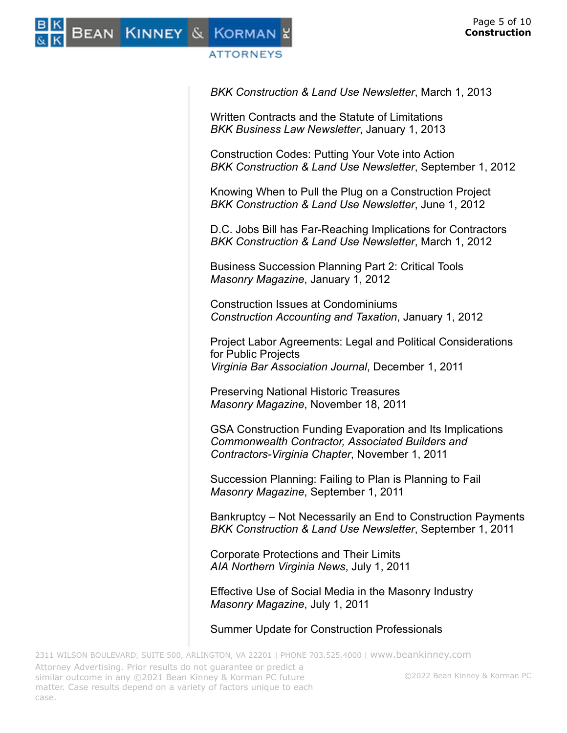

*BKK Construction & Land Use Newsletter*, March 1, 2013

Written Contracts and the Statute of Limitations *BKK Business Law Newsletter*, January 1, 2013

Construction Codes: Putting Your Vote into Action *BKK Construction & Land Use Newsletter*, September 1, 2012

Knowing When to Pull the Plug on a Construction Project *BKK Construction & Land Use Newsletter*, June 1, 2012

D.C. Jobs Bill has Far-Reaching Implications for Contractors *BKK Construction & Land Use Newsletter*, March 1, 2012

Business Succession Planning Part 2: Critical Tools *Masonry Magazine*, January 1, 2012

Construction Issues at Condominiums *Construction Accounting and Taxation*, January 1, 2012

Project Labor Agreements: Legal and Political Considerations for Public Projects *Virginia Bar Association Journal*, December 1, 2011

Preserving National Historic Treasures *Masonry Magazine*, November 18, 2011

GSA Construction Funding Evaporation and Its Implications *Commonwealth Contractor, Associated Builders and Contractors-Virginia Chapter*, November 1, 2011

Succession Planning: Failing to Plan is Planning to Fail *Masonry Magazine*, September 1, 2011

Bankruptcy – Not Necessarily an End to Construction Payments *BKK Construction & Land Use Newsletter*, September 1, 2011

Corporate Protections and Their Limits *AIA Northern Virginia News*, July 1, 2011

Effective Use of Social Media in the Masonry Industry *Masonry Magazine*, July 1, 2011

Summer Update for Construction Professionals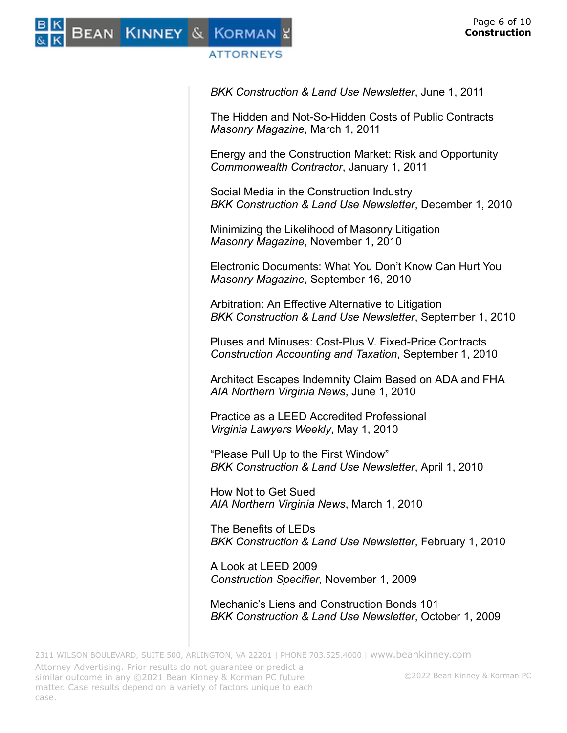

*BKK Construction & Land Use Newsletter*, June 1, 2011

The Hidden and Not-So-Hidden Costs of Public Contracts *Masonry Magazine*, March 1, 2011

Energy and the Construction Market: Risk and Opportunity *Commonwealth Contractor*, January 1, 2011

Social Media in the Construction Industry *BKK Construction & Land Use Newsletter*, December 1, 2010

Minimizing the Likelihood of Masonry Litigation *Masonry Magazine*, November 1, 2010

Electronic Documents: What You Don't Know Can Hurt You *Masonry Magazine*, September 16, 2010

Arbitration: An Effective Alternative to Litigation *BKK Construction & Land Use Newsletter*, September 1, 2010

Pluses and Minuses: Cost-Plus V. Fixed-Price Contracts *Construction Accounting and Taxation*, September 1, 2010

Architect Escapes Indemnity Claim Based on ADA and FHA *AIA Northern Virginia News*, June 1, 2010

Practice as a LEED Accredited Professional *Virginia Lawyers Weekly*, May 1, 2010

"Please Pull Up to the First Window" *BKK Construction & Land Use Newsletter*, April 1, 2010

How Not to Get Sued *AIA Northern Virginia News*, March 1, 2010

The Benefits of LEDs *BKK Construction & Land Use Newsletter*, February 1, 2010

A Look at LEED 2009 *Construction Specifier*, November 1, 2009

Mechanic's Liens and Construction Bonds 101 *BKK Construction & Land Use Newsletter*, October 1, 2009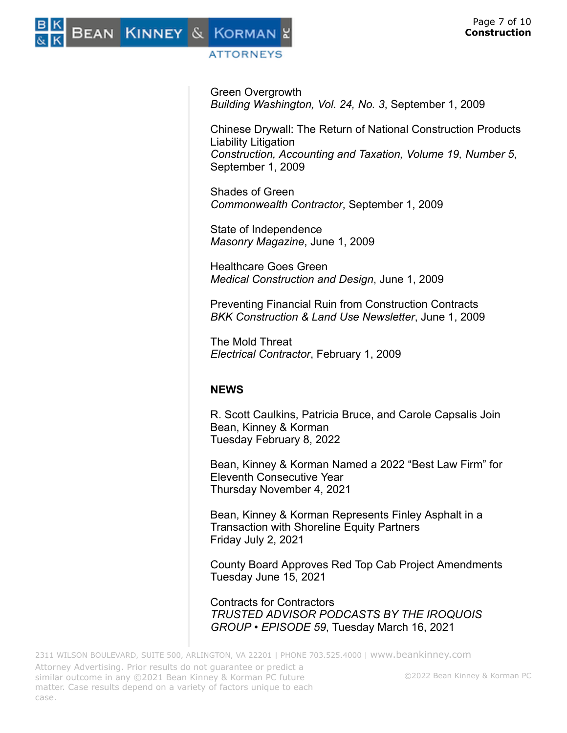

Green Overgrowth *Building Washington, Vol. 24, No. 3*, September 1, 2009

Chinese Drywall: The Return of National Construction Products Liability Litigation *Construction, Accounting and Taxation, Volume 19, Number 5*, September 1, 2009

Shades of Green *Commonwealth Contractor*, September 1, 2009

State of Independence *Masonry Magazine*, June 1, 2009

Healthcare Goes Green *Medical Construction and Design*, June 1, 2009

Preventing Financial Ruin from Construction Contracts *BKK Construction & Land Use Newsletter*, June 1, 2009

The Mold Threat *Electrical Contractor*, February 1, 2009

# **NEWS**

R. Scott Caulkins, Patricia Bruce, and Carole Capsalis Join Bean, Kinney & Korman Tuesday February 8, 2022

Bean, Kinney & Korman Named a 2022 "Best Law Firm" for Eleventh Consecutive Year Thursday November 4, 2021

Bean, Kinney & Korman Represents Finley Asphalt in a Transaction with Shoreline Equity Partners Friday July 2, 2021

County Board Approves Red Top Cab Project Amendments Tuesday June 15, 2021

Contracts for Contractors *TRUSTED ADVISOR PODCASTS BY THE IROQUOIS GROUP • EPISODE 59*, Tuesday March 16, 2021

©2022 Bean Kinney & Korman PC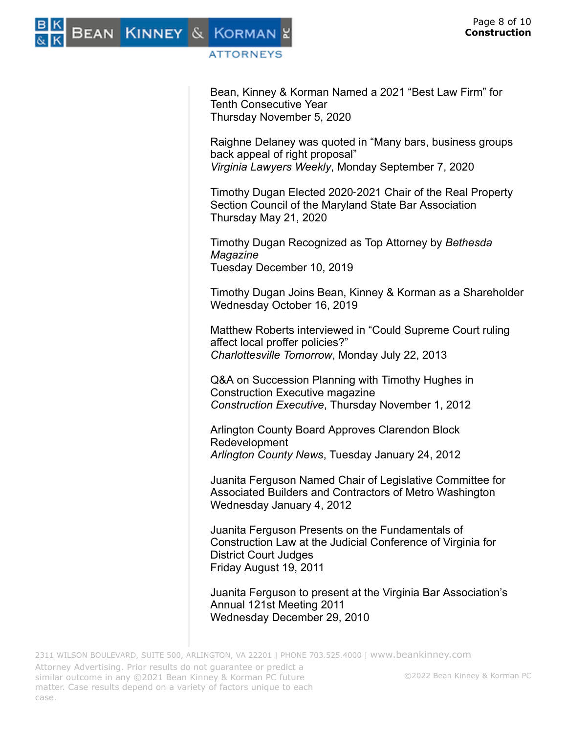

Bean, Kinney & Korman Named a 2021 "Best Law Firm" for Tenth Consecutive Year Thursday November 5, 2020

Raighne Delaney was quoted in "Many bars, business groups back appeal of right proposal" *Virginia Lawyers Weekly*, Monday September 7, 2020

Timothy Dugan Elected 2020‑2021 Chair of the Real Property Section Council of the Maryland State Bar Association Thursday May 21, 2020

Timothy Dugan Recognized as Top Attorney by *Bethesda Magazine* Tuesday December 10, 2019

Timothy Dugan Joins Bean, Kinney & Korman as a Shareholder Wednesday October 16, 2019

Matthew Roberts interviewed in "Could Supreme Court ruling affect local proffer policies?" *Charlottesville Tomorrow*, Monday July 22, 2013

Q&A on Succession Planning with Timothy Hughes in Construction Executive magazine *Construction Executive*, Thursday November 1, 2012

Arlington County Board Approves Clarendon Block Redevelopment *Arlington County News*, Tuesday January 24, 2012

Juanita Ferguson Named Chair of Legislative Committee for Associated Builders and Contractors of Metro Washington Wednesday January 4, 2012

Juanita Ferguson Presents on the Fundamentals of Construction Law at the Judicial Conference of Virginia for District Court Judges Friday August 19, 2011

Juanita Ferguson to present at the Virginia Bar Association's Annual 121st Meeting 2011 Wednesday December 29, 2010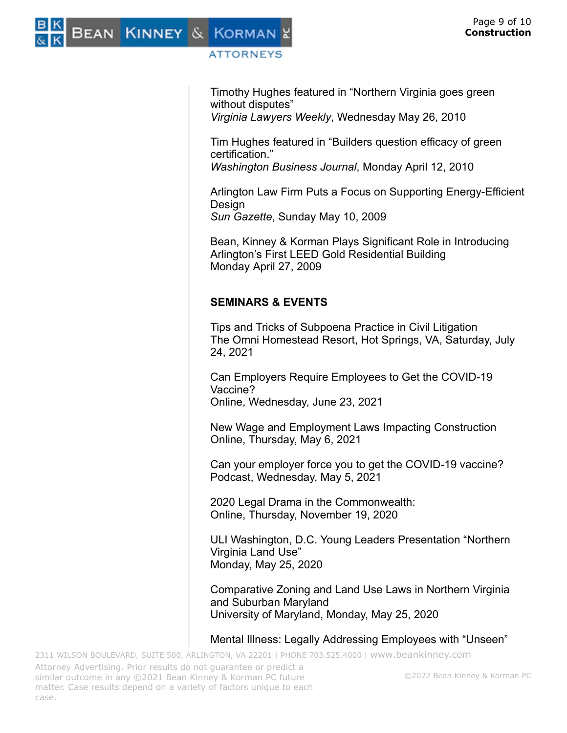Timothy Hughes featured in "Northern Virginia goes green without disputes"

*Virginia Lawyers Weekly*, Wednesday May 26, 2010

Tim Hughes featured in "Builders question efficacy of green certification."

*Washington Business Journal*, Monday April 12, 2010

Arlington Law Firm Puts a Focus on Supporting Energy-Efficient **Design** *Sun Gazette*, Sunday May 10, 2009

Bean, Kinney & Korman Plays Significant Role in Introducing Arlington's First LEED Gold Residential Building Monday April 27, 2009

# **SEMINARS & EVENTS**

Tips and Tricks of Subpoena Practice in Civil Litigation The Omni Homestead Resort, Hot Springs, VA, Saturday, July 24, 2021

Can Employers Require Employees to Get the COVID-19 Vaccine? Online, Wednesday, June 23, 2021

New Wage and Employment Laws Impacting Construction Online, Thursday, May 6, 2021

Can your employer force you to get the COVID-19 vaccine? Podcast, Wednesday, May 5, 2021

2020 Legal Drama in the Commonwealth: Online, Thursday, November 19, 2020

ULI Washington, D.C. Young Leaders Presentation "Northern Virginia Land Use" Monday, May 25, 2020

Comparative Zoning and Land Use Laws in Northern Virginia and Suburban Maryland University of Maryland, Monday, May 25, 2020

#### Mental Illness: Legally Addressing Employees with "Unseen"

2311 WILSON BOULEVARD, SUITE 500, ARLINGTON, VA 22201 | PHONE 703.525.4000 | [www.beankinney.com](http://www.beankinney.com/) Attorney Advertising. Prior results do not guarantee or predict a similar outcome in any ©2021 Bean Kinney & Korman PC future matter. Case results depend on a variety of factors unique to each case.

©2022 Bean Kinney & Korman PC